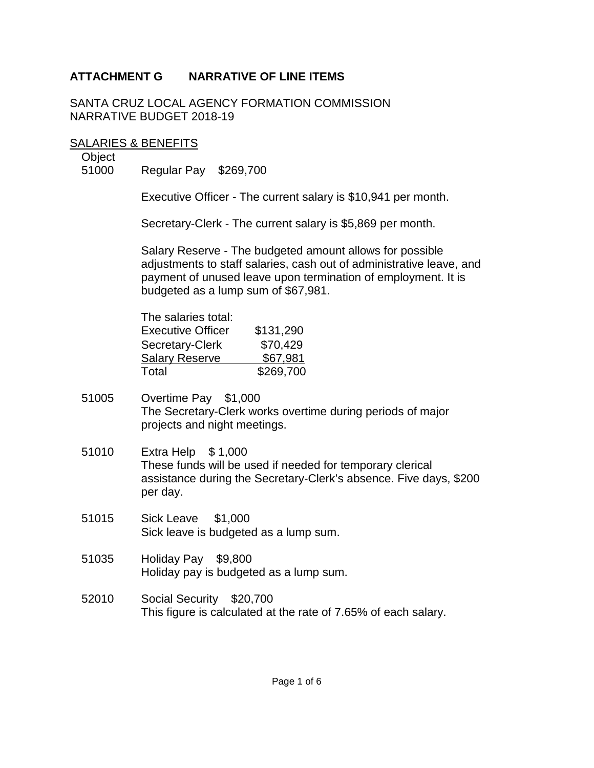SANTA CRUZ LOCAL AGENCY FORMATION COMMISSION NARRATIVE BUDGET 2018-19

#### SALARIES & BENEFITS

**Object** 

51000 Regular Pay \$269,700

Executive Officer - The current salary is \$10,941 per month.

Secretary-Clerk - The current salary is \$5,869 per month.

Salary Reserve - The budgeted amount allows for possible adjustments to staff salaries, cash out of administrative leave, and payment of unused leave upon termination of employment. It is budgeted as a lump sum of \$67,981.

| The salaries total:      |           |
|--------------------------|-----------|
| <b>Executive Officer</b> | \$131,290 |
| Secretary-Clerk          | \$70,429  |
| <b>Salary Reserve</b>    | \$67,981  |
| Total                    | \$269,700 |

- 51005 Overtime Pay \$1,000 The Secretary-Clerk works overtime during periods of major projects and night meetings.
- 51010 Extra Help \$ 1,000 These funds will be used if needed for temporary clerical assistance during the Secretary-Clerk's absence. Five days, \$200 per day.
- 51015 Sick Leave \$1,000 Sick leave is budgeted as a lump sum.
- 51035 Holiday Pay \$9,800 Holiday pay is budgeted as a lump sum.
- 52010 Social Security \$20,700 This figure is calculated at the rate of 7.65% of each salary.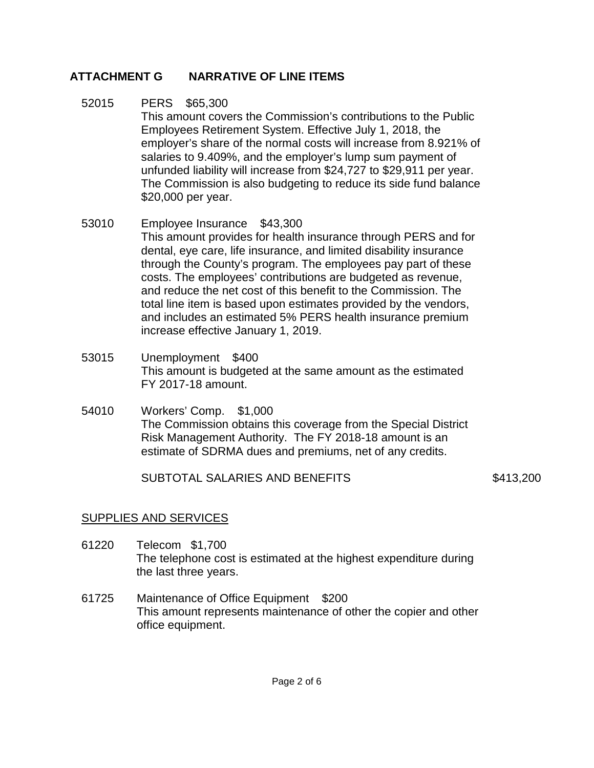- 52015 PERS \$65,300 This amount covers the Commission's contributions to the Public Employees Retirement System. Effective July 1, 2018, the employer's share of the normal costs will increase from 8.921% of salaries to 9.409%, and the employer's lump sum payment of unfunded liability will increase from \$24,727 to \$29,911 per year. The Commission is also budgeting to reduce its side fund balance \$20,000 per year.
- 53010 Employee Insurance \$43,300 This amount provides for health insurance through PERS and for dental, eye care, life insurance, and limited disability insurance through the County's program. The employees pay part of these costs. The employees' contributions are budgeted as revenue, and reduce the net cost of this benefit to the Commission. The total line item is based upon estimates provided by the vendors, and includes an estimated 5% PERS health insurance premium increase effective January 1, 2019.
- 53015 Unemployment \$400 This amount is budgeted at the same amount as the estimated FY 2017-18 amount.
- 54010 Workers' Comp. \$1,000 The Commission obtains this coverage from the Special District Risk Management Authority. The FY 2018-18 amount is an estimate of SDRMA dues and premiums, net of any credits.

SUBTOTAL SALARIES AND BENEFITS **\$413,200** 

#### SUPPLIES AND SERVICES

- 61220 Telecom \$1,700 The telephone cost is estimated at the highest expenditure during the last three years.
- 61725 Maintenance of Office Equipment \$200 This amount represents maintenance of other the copier and other office equipment.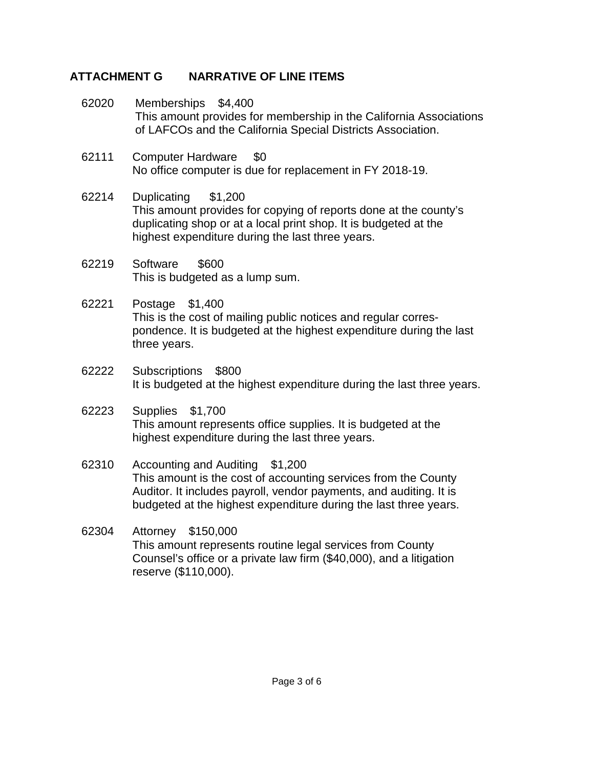- 62020 Memberships \$4,400 This amount provides for membership in the California Associations of LAFCOs and the California Special Districts Association.
- 62111 Computer Hardware \$0 No office computer is due for replacement in FY 2018-19.
- 62214 Duplicating \$1,200 This amount provides for copying of reports done at the county's duplicating shop or at a local print shop. It is budgeted at the highest expenditure during the last three years.
- 62219 Software \$600 This is budgeted as a lump sum.
- 62221 Postage \$1,400 This is the cost of mailing public notices and regular correspondence. It is budgeted at the highest expenditure during the last three years.
- 62222 Subscriptions \$800 It is budgeted at the highest expenditure during the last three years.
- 62223 Supplies \$1,700 This amount represents office supplies. It is budgeted at the highest expenditure during the last three years.
- 62310 Accounting and Auditing \$1,200 This amount is the cost of accounting services from the County Auditor. It includes payroll, vendor payments, and auditing. It is budgeted at the highest expenditure during the last three years.
- 62304 Attorney \$150,000 This amount represents routine legal services from County Counsel's office or a private law firm (\$40,000), and a litigation reserve (\$110,000).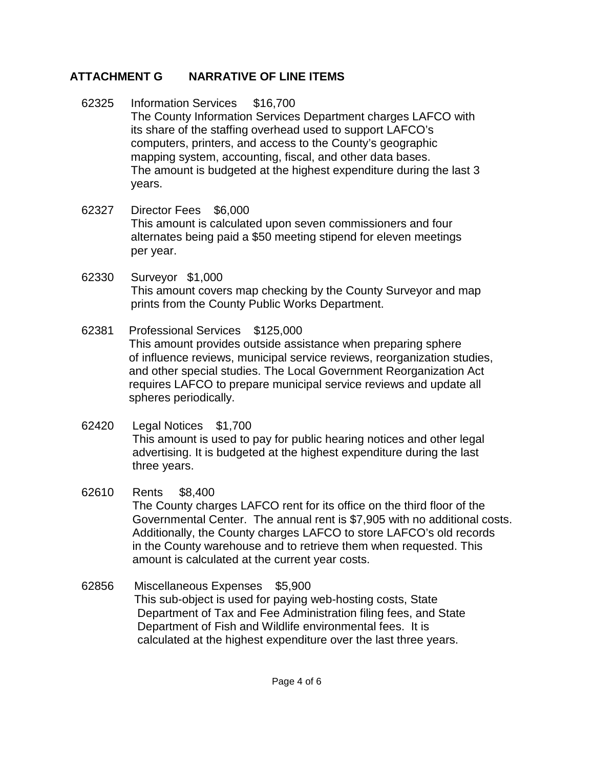- 62325 Information Services \$16,700 The County Information Services Department charges LAFCO with its share of the staffing overhead used to support LAFCO's computers, printers, and access to the County's geographic mapping system, accounting, fiscal, and other data bases. The amount is budgeted at the highest expenditure during the last 3 years.
- 62327 Director Fees \$6,000 This amount is calculated upon seven commissioners and four alternates being paid a \$50 meeting stipend for eleven meetings per year.
- 62330 Surveyor \$1,000 This amount covers map checking by the County Surveyor and map prints from the County Public Works Department.
- 62381 Professional Services \$125,000 This amount provides outside assistance when preparing sphere of influence reviews, municipal service reviews, reorganization studies, and other special studies. The Local Government Reorganization Act requires LAFCO to prepare municipal service reviews and update all spheres periodically.
- 62420 Legal Notices \$1,700 This amount is used to pay for public hearing notices and other legal advertising. It is budgeted at the highest expenditure during the last three years.
- 62610 Rents \$8,400 The County charges LAFCO rent for its office on the third floor of the Governmental Center. The annual rent is \$7,905 with no additional costs. Additionally, the County charges LAFCO to store LAFCO's old records in the County warehouse and to retrieve them when requested. This amount is calculated at the current year costs.
- 62856 Miscellaneous Expenses \$5,900 This sub-object is used for paying web-hosting costs, State Department of Tax and Fee Administration filing fees, and State Department of Fish and Wildlife environmental fees. It is calculated at the highest expenditure over the last three years.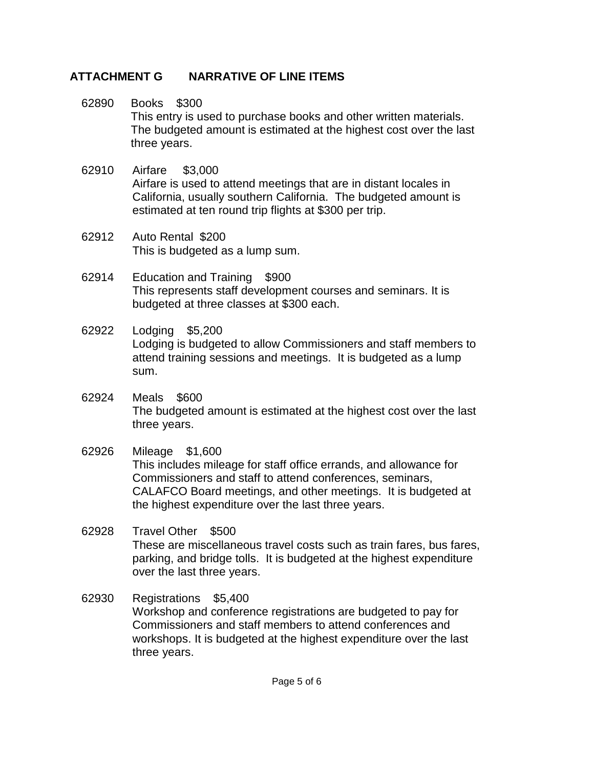- 62890 Books \$300 This entry is used to purchase books and other written materials. The budgeted amount is estimated at the highest cost over the last three years.
- 62910 Airfare \$3,000 Airfare is used to attend meetings that are in distant locales in California, usually southern California. The budgeted amount is estimated at ten round trip flights at \$300 per trip.
- 62912 Auto Rental \$200 This is budgeted as a lump sum.
- 62914 Education and Training \$900 This represents staff development courses and seminars. It is budgeted at three classes at \$300 each.
- 62922 Lodging \$5,200 Lodging is budgeted to allow Commissioners and staff members to attend training sessions and meetings. It is budgeted as a lump sum.
- 62924 Meals \$600 The budgeted amount is estimated at the highest cost over the last three years.
- 62926 Mileage \$1,600 This includes mileage for staff office errands, and allowance for Commissioners and staff to attend conferences, seminars, CALAFCO Board meetings, and other meetings. It is budgeted at the highest expenditure over the last three years.
- 62928 Travel Other \$500 These are miscellaneous travel costs such as train fares, bus fares, parking, and bridge tolls. It is budgeted at the highest expenditure over the last three years.
- 62930 Registrations \$5,400 Workshop and conference registrations are budgeted to pay for Commissioners and staff members to attend conferences and workshops. It is budgeted at the highest expenditure over the last three years.